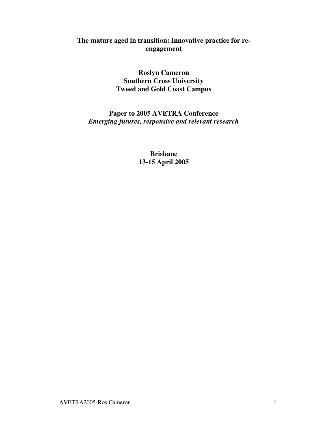# **The mature aged in transition: Innovative practice for reengagement**

**Roslyn Cameron Southern Cross University Tweed and Gold Coast Campus**

**Paper to 2005 AVETRA Conference** *Emerging futures, responsive and relevant research*

> **Brisbane 13-15 April 2005**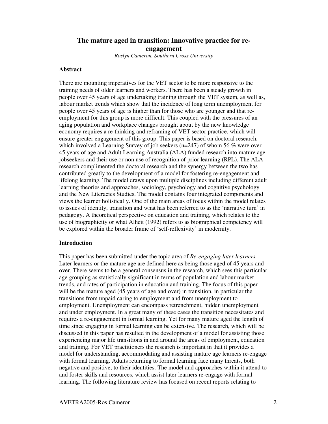# **The mature aged in transition: Innovative practice for reengagement**

*Roslyn Cameron, Southern Cross University*

#### **Abstract**

There are mounting imperatives for the VET sector to be more responsive to the training needs of older learners and workers. There has been a steady growth in people over 45 years of age undertaking training through the VET system, as well as, labour market trends which show that the incidence of long term unemployment for people over 45 years of age is higher than for those who are younger and that reemployment for this group is more difficult. This coupled with the pressures of an aging population and workplace changes brought about by the new knowledge economy requires a re-thinking and reframing of VET sector practice, which will ensure greater engagement of this group. This paper is based on doctoral research, which involved a Learning Survey of job seekers ( $n=247$ ) of whom 56 % were over 45 years of age and Adult Learning Australia (ALA) funded research into mature age jobseekers and their use or non use of recognition of prior learning (RPL). The ALA research complimented the doctoral research and the synergy between the two has contributed greatly to the development of a model for fostering re-engagement and lifelong learning. The model draws upon multiple disciplines including different adult learning theories and approaches, sociology, psychology and cognitive psychology and the New Literacies Studies. The model contains four integrated components and views the learner holistically. One of the main areas of focus within the model relates to issues of identity, transition and what has been referred to as the 'narrative turn' in pedagogy. A theoretical perspective on education and training, which relates to the use of biographicity or what Alheit (1992) refers to as biographical competency will be explored within the broader frame of 'self-reflexivity' in modernity.

#### **Introduction**

This paper has been submitted under the topic area of *Re-engaging later learners.* Later learners or the mature age are defined here as being those aged of 45 years and over. There seems to be a general consensus in the research, which sees this particular age grouping as statistically significant in terms of population and labour market trends, and rates of participation in education and training. The focus of this paper will be the mature aged (45 years of age and over) in transition, in particular the transitions from unpaid caring to employment and from unemployment to employment. Unemployment can encompass retrenchment, hidden unemployment and under employment. In a great many of these cases the transition necessitates and requires a re-engagement in formal learning. Yet for many mature aged the length of time since engaging in formal learning can be extensive. The research, which will be discussed in this paper has resulted in the development of a model for assisting those experiencing major life transitions in and around the areas of employment, education and training. For VET practitioners the research is important in that it provides a model for understanding, accommodating and assisting mature age learners re-engage with formal learning. Adults returning to formal learning face many threats, both negative and positive, to their identities. The model and approaches within it attend to and foster skills and resources, which assist later learners re-engage with formal learning. The following literature review has focused on recent reports relating to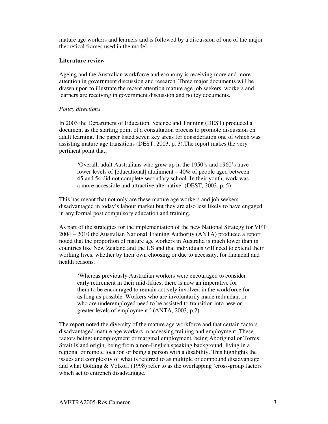mature age workers and learners and is followed by a discussion of one of the major theoretical frames used in the model.

#### **Literature review**

Ageing and the Australian workforce and economy is receiving more and more attention in government discussion and research. Three major documents will be drawn upon to illustrate the recent attention mature age job seekers, workers and learners are receiving in government discussion and policy documents.

## *Policy directions*

In 2003 the Department of Education, Science and Training (DEST) produced a document as the starting point of a consultation process to promote discussion on adult learning. The paper listed seven key areas for consideration one of which was assisting mature age transitions (DEST, 2003, p. 3).The report makes the very pertinent point that;

'Overall, adult Australians who grew up in the 1950's and 1960's have lower levels of [educational] attainment – 40% of people aged between 45 and 54 did not complete secondary school. In their youth, work was a more accessible and attractive alternative' (DEST, 2003, p. 5)

This has meant that not only are these mature age workers and job seekers disadvantaged in today's labour market but they are also less likely to have engaged in any formal post compulsory education and training.

As part of the strategies for the implementation of the new National Strategy for VET: 2004 – 2010 the Australian National Training Authority (ANTA) produced a report noted that the proportion of mature age workers in Australia is much lower than in countries like New Zealand and the US and that individuals will need to extend their working lives, whether by their own choosing or due to necessity, for financial and health reasons.

'Whereas previously Australian workers were encouraged to consider early retirement in their mid-fifties, there is now an imperative for them to be encouraged to remain actively involved in the workforce for as long as possible. Workers who are involuntarily made redundant or who are underemployed need to be assisted to transition into new or greater levels of employment.' (ANTA, 2003, p.2)

The report noted the diversity of the mature age workforce and that certain factors disadvantaged mature age workers in accessing training and employment. These factors being: unemployment or marginal employment, being Aboriginal or Torres Strait Island origin, being from a non-English speaking background, living in a regional or remote location or being a person with a disability. This highlights the issues and complexity of what is referred to as multiple or compound disadvantage and what Golding & Volkoff (1998) refer to as the overlapping 'cross-group factors' which act to entrench disadvantage.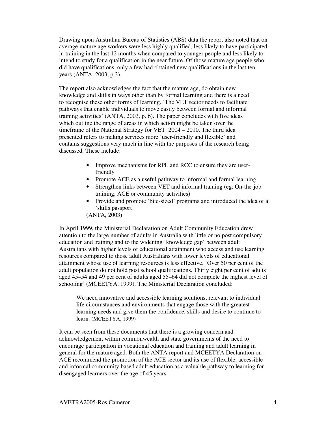Drawing upon Australian Bureau of Statistics (ABS) data the report also noted that on average mature age workers were less highly qualified, less likely to have participated in training in the last 12 months when compared to younger people and less likely to intend to study for a qualification in the near future. Of those mature age people who did have qualifications, only a few had obtained new qualifications in the last ten years (ANTA, 2003, p.3).

The report also acknowledges the fact that the mature age, do obtain new knowledge and skills in ways other than by formal learning and there is a need to recognise these other forms of learning. 'The VET sector needs to facilitate pathways that enable individuals to move easily between formal and informal training activities' (ANTA, 2003, p. 6). The paper concludes with five ideas which outline the range of areas in which action might be taken over the timeframe of the National Strategy for VET: 2004 – 2010. The third idea presented refers to making services more 'user-friendly and flexible' and contains suggestions very much in line with the purposes of the research being discussed. These include:

- Improve mechanisms for RPL and RCC to ensure they are userfriendly
- Promote ACE as a useful pathway to informal and formal learning
- Strengthen links between VET and informal training (eg. On-the-job training, ACE or community activities)
- Provide and promote 'bite-sized' programs and introduced the idea of a 'skills passport'
- (ANTA, 2003)

In April 1999, the Ministerial Declaration on Adult Community Education drew attention to the large number of adults in Australia with little or no post compulsory education and training and to the widening 'knowledge gap' between adult Australians with higher levels of educational attainment who access and use learning resources compared to those adult Australians with lower levels of educational attainment whose use of learning resources is less effective. 'Over 50 per cent of the adult population do not hold post school qualifications. Thirty eight per cent of adults aged 45–54 and 49 per cent of adults aged 55–64 did not complete the highest level of schooling' (MCEETYA, 1999). The Ministerial Declaration concluded:

We need innovative and accessible learning solutions, relevant to individual life circumstances and environments that engage those with the greatest learning needs and give them the confidence, skills and desire to continue to learn. (MCEETYA, 1999)

It can be seen from these documents that there is a growing concern and acknowledgement within commonwealth and state governments of the need to encourage participation in vocational education and training and adult learning in general for the mature aged. Both the ANTA report and MCEETYA Declaration on ACE recommend the promotion of the ACE sector and its use of flexible, accessible and informal community based adult education as a valuable pathway to learning for disengaged learners over the age of 45 years.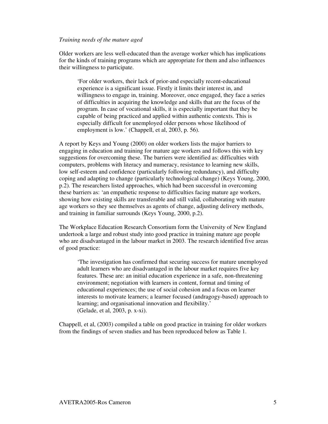#### *Training needs of the mature aged*

Older workers are less well-educated than the average worker which has implications for the kinds of training programs which are appropriate for them and also influences their willingness to participate.

'For older workers, their lack of prior-and especially recent-educational experience is a significant issue. Firstly it limits their interest in, and willingness to engage in, training. Moreover, once engaged, they face a series of difficulties in acquiring the knowledge and skills that are the focus of the program. In case of vocational skills, it is especially important that they be capable of being practiced and applied within authentic contexts. This is especially difficult for unemployed older persons whose likelihood of employment is low.' (Chappell, et al, 2003, p. 56).

A report by Keys and Young (2000) on older workers lists the major barriers to engaging in education and training for mature age workers and follows this with key suggestions for overcoming these. The barriers were identified as: difficulties with computers, problems with literacy and numeracy, resistance to learning new skills, low self-esteem and confidence (particularly following redundancy), and difficulty coping and adapting to change (particularly technological change) (Keys Young, 2000, p.2). The researchers listed approaches, which had been successful in overcoming these barriers as: 'an empathetic response to difficulties facing mature age workers, showing how existing skills are transferable and still valid, collaborating with mature age workers so they see themselves as agents of change, adjusting delivery methods, and training in familiar surrounds (Keys Young, 2000, p.2).

The Workplace Education Research Consortium form the University of New England undertook a large and robust study into good practice in training mature age people who are disadvantaged in the labour market in 2003. The research identified five areas of good practice:

'The investigation has confirmed that securing success for mature unemployed adult learners who are disadvantaged in the labour market requires five key features. These are: an initial education experience in a safe, non-threatening environment; negotiation with learners in content, format and timing of educational experiences; the use of social cohesion and a focus on learner interests to motivate learners; a learner focused (andragogy-based) approach to learning; and organisational innovation and flexibility.' (Gelade, et al, 2003, p. x-xi).

Chappell, et al, (2003) compiled a table on good practice in training for older workers from the findings of seven studies and has been reproduced below as Table 1.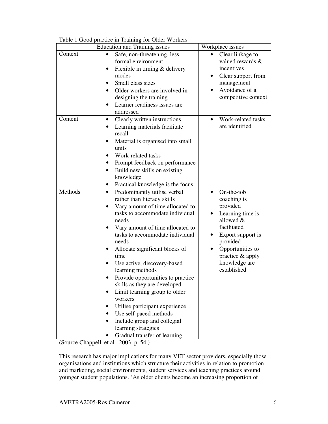Table 1 Good practice in Training for Older Workers

|         | radic I Good practice in Framing for Older Workers<br><b>Education and Training issues</b>                                                                                                                                                                                                                                                                                                                                                                                                                                                                                                                                 | Workplace issues                                                                                                                                                                                                              |
|---------|----------------------------------------------------------------------------------------------------------------------------------------------------------------------------------------------------------------------------------------------------------------------------------------------------------------------------------------------------------------------------------------------------------------------------------------------------------------------------------------------------------------------------------------------------------------------------------------------------------------------------|-------------------------------------------------------------------------------------------------------------------------------------------------------------------------------------------------------------------------------|
| Context | Safe, non-threatening, less<br>formal environment<br>Flexible in timing & delivery<br>modes<br>Small class sizes<br>Older workers are involved in<br>designing the training<br>Learner readiness issues are<br>addressed                                                                                                                                                                                                                                                                                                                                                                                                   | Clear linkage to<br>$\bullet$<br>valued rewards &<br>incentives<br>Clear support from<br>$\bullet$<br>management<br>Avoidance of a<br>$\bullet$<br>competitive context                                                        |
| Content | Clearly written instructions<br>$\bullet$<br>Learning materials facilitate<br>$\bullet$<br>recall<br>Material is organised into small<br>units<br>Work-related tasks<br>Prompt feedback on performance<br>$\bullet$<br>Build new skills on existing<br>$\bullet$<br>knowledge<br>Practical knowledge is the focus                                                                                                                                                                                                                                                                                                          | Work-related tasks<br>$\bullet$<br>are identified                                                                                                                                                                             |
| Methods | Predominantly utilise verbal<br>$\bullet$<br>rather than literacy skills<br>Vary amount of time allocated to<br>$\bullet$<br>tasks to accommodate individual<br>needs<br>Vary amount of time allocated to<br>tasks to accommodate individual<br>needs<br>Allocate significant blocks of<br>٠<br>time<br>Use active, discovery-based<br>learning methods<br>Provide opportunities to practice<br>skills as they are developed<br>Limit learning group to older<br>workers<br>Utilise participant experience<br>Use self-paced methods<br>Include group and collegial<br>learning strategies<br>Gradual transfer of learning | $On$ -the-job<br>$\bullet$<br>coaching is<br>provided<br>Learning time is<br>٠<br>allowed &<br>facilitated<br>Export support is<br>٠<br>provided<br>Opportunities to<br>٠<br>practice & apply<br>knowledge are<br>established |

(Source Chappell, et al , 2003, p. 54.)

This research has major implications for many VET sector providers, especially those organisations and institutions which structure their activities in relation to promotion and marketing, social environments, student services and teaching practices around younger student populations. 'As older clients become an increasing proportion of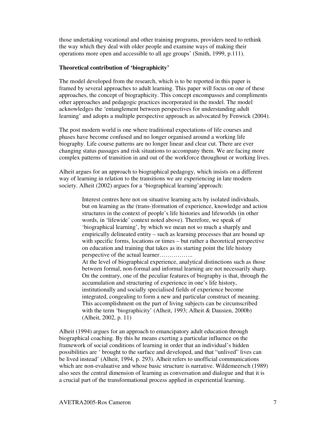those undertaking vocational and other training programs, providers need to rethink the way which they deal with older people and examine ways of making their operations more open and accessible to all age groups' (Smith, 1999, p.111).

## **Theoretical contribution of 'biographicity'**

The model developed from the research, which is to be reported in this paper is framed by several approaches to adult learning. This paper will focus on one of these approaches, the concept of biographicity. This concept encompasses and compliments other approaches and pedagogic practices incorporated in the model. The model acknowledges the 'entanglement between perspectives for understanding adult learning' and adopts a multiple perspective approach as advocated by Fenwick (2004).

The post modern world is one where traditional expectations of life courses and phases have become confused and no longer organised around a working life biography. Life course patterns are no longer linear and clear cut. There are ever changing status passages and risk situations to accompany them. We are facing more complex patterns of transition in and out of the workforce throughout or working lives.

Alheit argues for an approach to biographical pedagogy, which insists on a different way of learning in relation to the transitions we are experiencing in late modern society. Alheit (2002) argues for a 'biographical learning'approach:

> Interest centres here not on situative learning acts by isolated individuals, but on learning as the (trans-)formation of experience, knowledge and action structures in the context of people's life histories and lifeworlds (in other words, in 'lifewide' context noted above). Therefore, we speak of 'biographical learning', by which we mean not so much a sharply and empirically delineated entity – such as learning processes that are bound up with specific forms, locations or times – but rather a theoretical perspective on education and training that takes as its starting point the life history perspective of the actual learner…………….. At the level of biographical experience, analytical distinctions such as those between formal, non-formal and informal learning are not necessarily sharp. On the contrary, one of the peculiar features of biography is that, through the accumulation and structuring of experience in one's life history, institutionally and socially specialised fields of experience become integrated, congealing to form a new and particular construct of meaning. This accomplishment on the part of living subjects can be circumscribed with the term 'biographicity' (Alheit, 1993; Alheit & Dausien, 2000b) (Alheit, 2002, p. 11)

Alheit (1994) argues for an approach to emancipatory adult education through biographical coaching. By this he means exerting a particular influence on the framework of social conditions of learning in order that an individual's hidden possibilities are ' brought to the surface and developed, and that "unlived" lives can be lived instead' (Alheit, 1994, p. 293). Alheit refers to unofficial communications which are non-evaluative and whose basic structure is narrative. Wildemeersch (1989) also sees the central dimension of learning as conversation and dialogue and that it is a crucial part of the transformational process applied in experiential learning.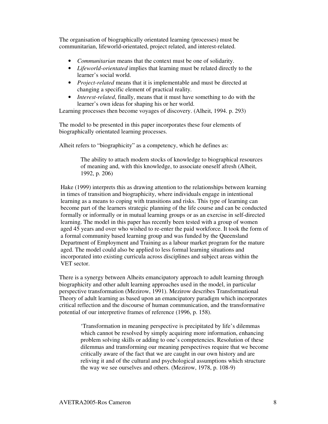The organisation of biographically orientated learning (processes) must be communitarian, lifeworld-orientated, project related, and interest-related.

- *Communitarian* means that the context must be one of solidarity.
- *Lifeworld-orientated* implies that learning must be related directly to the learner's social world.
- *Project-related* means that it is implementable and must be directed at changing a specific element of practical reality.
- *Interest-related*, finally, means that it must have something to do with the learner's own ideas for shaping his or her world.

Learning processes then become voyages of discovery. (Alheit, 1994. p. 293)

The model to be presented in this paper incorporates these four elements of biographically orientated learning processes.

Alheit refers to "biographicity" as a competency, which he defines as:

The ability to attach modern stocks of knowledge to biographical resources of meaning and, with this knowledge, to associate oneself afresh (Alheit, 1992, p. 206)

Hake (1999) interprets this as drawing attention to the relationships between learning in times of transition and biographicity, where individuals engage in intentional learning as a means to coping with transitions and risks. This type of learning can become part of the learners strategic planning of the life course and can be conducted formally or informally or in mutual learning groups or as an exercise in self-directed learning. The model in this paper has recently been tested with a group of women aged 45 years and over who wished to re-enter the paid workforce. It took the form of a formal community based learning group and was funded by the Queensland Department of Employment and Training as a labour market program for the mature aged. The model could also be applied to less formal learning situations and incorporated into existing curricula across disciplines and subject areas within the VET sector.

There is a synergy between Alheits emancipatory approach to adult learning through biographicity and other adult learning approaches used in the model, in particular perspective transformation (Mezirow, 1991). Mezirow describes Transformational Theory of adult learning as based upon an emancipatory paradigm which incorporates critical reflection and the discourse of human communication, and the transformative potential of our interpretive frames of reference (1996, p. 158).

'Transformation in meaning perspective is precipitated by life's dilemmas which cannot be resolved by simply acquiring more information, enhancing problem solving skills or adding to one's competencies. Resolution of these dilemmas and transforming our meaning perspectives require that we become critically aware of the fact that we are caught in our own history and are reliving it and of the cultural and psychological assumptions which structure the way we see ourselves and others. (Mezirow, 1978, p. 108-9)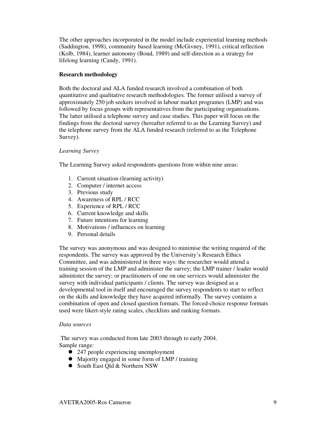The other approaches incorporated in the model include experiential learning methods (Saddington, 1998), community based learning (McGivney, 1991), critical reflection (Kolb, 1984), learner autonomy (Boud, 1989) and self-direction as a strategy for lifelong learning (Candy, 1991).

#### **Research methodology**

Both the doctoral and ALA funded research involved a combination of both quantitative and qualitative research methodologies. The former utilised a survey of approximately 250 job seekers involved in labour market programes (LMP) and was followed by focus groups with representatives from the participating organisations. The latter utilised a telephone survey and case studies. This paper will focus on the findings from the doctoral survey (hereafter referred to as the Learning Survey) and the telephone survey from the ALA funded research (referred to as the Telephone Survey).

### *Learning Survey*

The Learning Survey asked respondents questions from within nine areas:

- 1. Current situation-(learning activity)
- 2. Computer / internet access
- 3. Previous study
- 4. Awareness of RPL / RCC
- 5. Experience of RPL / RCC
- 6. Current knowledge and skills
- 7. Future intentions for learning
- 8. Motivations / influences on learning
- 9. Personal details

The survey was anonymous and was designed to minimise the writing required of the respondents. The survey was approved by the University's Research Ethics Committee, and was administered in three ways: the researcher would attend a training session of the LMP and administer the survey; the LMP trainer / leader would administer the survey; or practitioners of one on one services would administer the survey with individual participants / clients. The survey was designed as a developmental tool in itself and encouraged the survey respondents to start to reflect on the skills and knowledge they have acquired informally. The survey contains a combination of open and closed question formats. The forced-choice response formats used were likert-style rating scales, checklists and ranking formats.

#### *Data sources*

The survey was conducted from late 2003 through to early 2004. Sample range:

- 247 people experiencing unemployment
- Majority engaged in some form of LMP / training
- South East Old & Northern NSW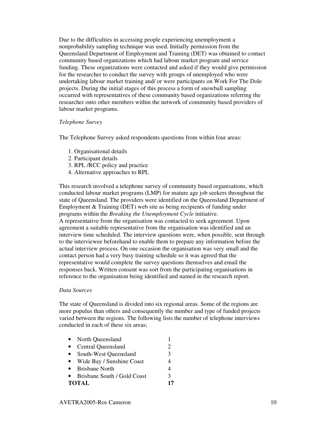Due to the difficulties in accessing people experiencing unemployment a nonprobability sampling technique was used. Initially permission from the Queensland Department of Employment and Training (DET) was obtained to contact community based organizations which had labour market program and service funding. These organizations were contacted and asked if they would give permission for the researcher to conduct the survey with groups of unemployed who were undertaking labour market training and/ or were participants on Work For The Dole projects. During the initial stages of this process a form of snowball sampling occurred with representatives of these community based organizations referring the researcher onto other members within the network of community based providers of labour market programs.

### *Telephone Survey*

The Telephone Survey asked respondents questions from within four areas:

- 1. Organisational details
- 2. Participant details
- 3. RPL /RCC policy and practice
- 4. Alternative approaches to RPL

This research involved a telephone survey of community based organisations, which conducted labour market programs (LMP) for mature age job seekers throughout the state of Queensland. The providers were identified on the Queensland Department of Employment & Training (DET) web site as being recipients of funding under programs within the *Breaking the Unemployment Cycle* initiative.

A representative from the organisation was contacted to seek agreement. Upon agreement a suitable representative from the organisation was identified and an interview time scheduled. The interview questions were, when possible, sent through to the interviewee beforehand to enable them to prepare any information before the actual interview process. On one occasion the organisation was very small and the contact person had a very busy training schedule so it was agreed that the representative would complete the survey questions themselves and email the responses back. Written consent was sort from the participating organisations in reference to the organisation being identified and named in the research report.

## *Data Sources*

The state of Queensland is divided into six regional areas. Some of the regions are more populus than others and consequently the number and type of funded projects varied between the regions. The following lists the number of telephone interviews conducted in each of these six areas;

- North Queensland 1 • Central Queensland 2 • South-West Queensland 3 • Wide Bay / Sunshine Coast 4 • Brisbane North 4
- Brisbane South / Gold Coast 3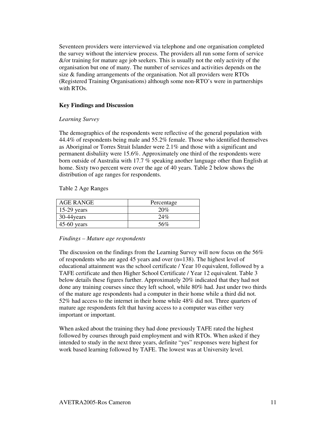Seventeen providers were interviewed via telephone and one organisation completed the survey without the interview process. The providers all run some form of service &/or training for mature age job seekers. This is usually not the only activity of the organisation but one of many. The number of services and activities depends on the size & funding arrangements of the organisation. Not all providers were RTOs (Registered Training Organisations) although some non-RTO's were in partnerships with RTOs.

## **Key Findings and Discussion**

## *Learning Survey*

The demographics of the respondents were reflective of the general population with 44.4% of respondents being male and 55.2% female. Those who identified themselves as Aboriginal or Torres Strait Islander were 2.1% and those with a significant and permanent disbaliity were 15.6%. Approximately one third of the respondents were born outside of Australia with 17.7 % speaking another language other than English at home. Sixty two percent were over the age of 40 years. Table 2 below shows the distribution of age ranges for respondents.

Table 2 Age Ranges

| <b>AGE RANGE</b> | Percentage |
|------------------|------------|
| $15-29$ years    | 20%        |
| $30-44$ years    | 24%        |
| $45-60$ years    | 56%        |

*Findings – Mature age respondents*

The discussion on the findings from the Learning Survey will now focus on the 56% of respondents who are aged 45 years and over (n=138). The highest level of educational attainment was the school certificate / Year 10 equivalent, followed by a TAFE certificate and then Higher School Certificate / Year 12 equivalent. Table 3 below details these figures further. Approximately 20% indicated that they had not done any training courses since they left school, while 80% had. Just under two thirds of the mature age respondents had a computer in their home while a third did not. 52% had access to the internet in their home while 48% did not. Three quarters of mature age respondents felt that having access to a computer was either very important or important.

When asked about the training they had done previously TAFE rated the highest followed by courses through paid employment and with RTOs. When asked if they intended to study in the next three years, definite "yes" responses were highest for work based learning followed by TAFE. The lowest was at University level.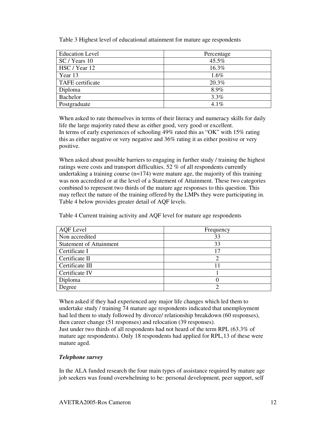Table 3 Highest level of educational attainment for mature age respondents

| <b>Education Level</b> | Percentage |
|------------------------|------------|
| SC / Years 10          | 45.5%      |
| HSC / Year 12          | 16.3%      |
| Year 13                | 1.6%       |
| TAFE certificate       | 20.3%      |
| Diploma                | 8.9%       |
| Bachelor               | 3.3%       |
| Postgraduate           | $4.1\%$    |

When asked to rate themselves in terms of their literacy and numeracy skills for daily life the large majority rated these as either good, very good or excellent. In terms of early experiences of schooling 49% rated this as "OK" with 15% rating this as either negative or very negative and 36% rating it as either positive or very positive.

When asked about possible barriers to engaging in further study / training the highest ratings were costs and transport difficulties. 52 % of all respondents currently undertaking a training course (n=174) were mature age, the majority of this training was non accredited or at the level of a Statement of Attainment. These two categories combined to represent two thirds of the mature age responses to this question. This may reflect the nature of the training offered by the LMPs they were participating in. Table 4 below provides greater detail of AQF levels.

Table 4 Current training activity and AQF level for mature age respondents

| <b>AQF</b> Level               | Frequency       |
|--------------------------------|-----------------|
| Non accredited                 | 33              |
| <b>Statement of Attainment</b> | 33              |
| Certificate I                  | $\overline{17}$ |
| Certificate II                 |                 |
| Certificate III                |                 |
| Certificate IV                 |                 |
| Diploma                        |                 |
| Degree                         |                 |

When asked if they had experienced any major life changes which led them to undertake study / training 74 mature age respondents indicated that unemployment had led them to study followed by divorce/ relationship breakdown (60 responses), then career change (51 responses) and relocation (39 responses).

Just under two thirds of all respondents had not heard of the term RPL (63.3% of mature age respondents). Only 18 respondents had applied for RPL,13 of these were mature aged.

# *Telephone survey*

In the ALA funded research the four main types of assistance required by mature age job seekers was found overwhelming to be: personal development, peer support, self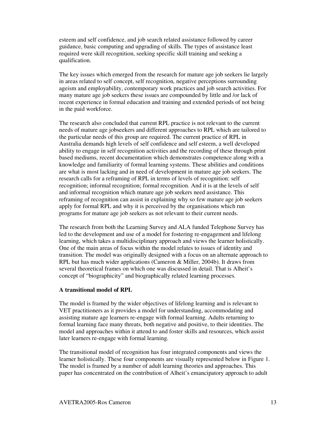esteem and self confidence, and job search related assistance followed by career guidance, basic computing and upgrading of skills. The types of assistance least required were skill recognition, seeking specific skill training and seeking a qualification.

The key issues which emerged from the research for mature age job seekers lie largely in areas related to self concept, self recognition, negative perceptions surrounding ageism and employability, contemporary work practices and job search activities. For many mature age job seekers these issues are compounded by little and /or lack of recent experience in formal education and training and extended periods of not being in the paid workforce.

The research also concluded that current RPL practice is not relevant to the current needs of mature age jobseekers and different approaches to RPL which are tailored to the particular needs of this group are required. The current practice of RPL in Australia demands high levels of self confidence and self esteem, a well developed ability to engage in self recognition activities and the recording of these through print based mediums, recent documentation which demonstrates competence along with a knowledge and familiarity of formal learning systems. These abilities and conditions are what is most lacking and in need of development in mature age job seekers. The research calls for a reframing of RPL in terms of levels of recognition: self recognition; informal recognition; formal recognition. And it is at the levels of self and informal recognition which mature age job seekers need assistance. This reframing of recognition can assist in explaining why so few mature age job seekers apply for formal RPL and why it is perceived by the organisations which run programs for mature age job seekers as not relevant to their current needs.

The research from both the Learning Survey and ALA funded Telephone Survey has led to the development and use of a model for fostering re-engagement and lifelong learning, which takes a multidisciplinary approach and views the learner holistically. One of the main areas of focus within the model relates to issues of identity and transition. The model was originally designed with a focus on an alternate approach to RPL but has much wider applications (Cameron & Miller, 2004b). It draws from several theoretical frames on which one was discussed in detail. That is Alheit's concept of "biographicity" and biographically related learning processes.

#### **A transitional model of RPL**

The model is framed by the wider objectives of lifelong learning and is relevant to VET practitioners as it provides a model for understanding, accommodating and assisting mature age learners re-engage with formal learning. Adults returning to formal learning face many threats, both negative and positive, to their identities. The model and approaches within it attend to and foster skills and resources, which assist later learners re-engage with formal learning.

The transitional model of recognition has four integrated components and views the learner holistically. These four components are visually represented below in Figure 1. The model is framed by a number of adult learning theories and approaches. This paper has concentrated on the contribution of Alheit's emancipatory approach to adult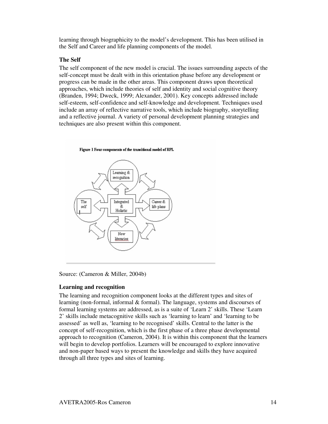learning through biographicity to the model's development. This has been utilised in the Self and Career and life planning components of the model.

## **The Self**

The self component of the new model is crucial. The issues surrounding aspects of the self-concept must be dealt with in this orientation phase before any development or progress can be made in the other areas. This component draws upon theoretical approaches, which include theories of self and identity and social cognitive theory (Branden, 1994; Dweck, 1999; Alexander, 2001). Key concepts addressed include self-esteem, self-confidence and self-knowledge and development. Techniques used include an array of reflective narrative tools, which include biography, storytelling and a reflective journal. A variety of personal development planning strategies and techniques are also present within this component.





Source: (Cameron & Miller, 2004b)

# **Learning and recognition**

The learning and recognition component looks at the different types and sites of learning (non-formal, informal & formal). The language, systems and discourses of formal learning systems are addressed, as is a suite of 'Learn 2' skills. These 'Learn 2' skills include metacognitive skills such as 'learning to learn' and 'learning to be assessed' as well as, 'learning to be recognised' skills. Central to the latter is the concept of self-recognition, which is the first phase of a three phase developmental approach to recognition (Cameron, 2004). It is within this component that the learners will begin to develop portfolios. Learners will be encouraged to explore innovative and non-paper based ways to present the knowledge and skills they have acquired through all three types and sites of learning.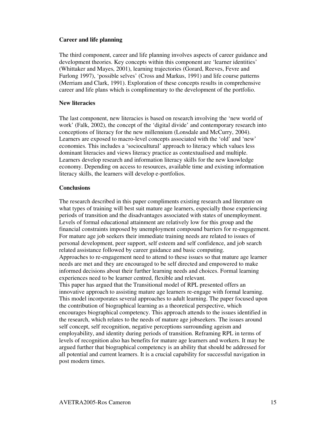## **Career and life planning**

The third component, career and life planning involves aspects of career guidance and development theories. Key concepts within this component are 'learner identities' (Whittaker and Mayes, 2001), learning trajectories (Gorard, Reeves, Fevre and Furlong 1997), 'possible selves' (Cross and Markus, 1991) and life course patterns (Merriam and Clark, 1991). Exploration of these concepts results in comprehensive career and life plans which is complimentary to the development of the portfolio.

## **New literacies**

The last component, new literacies is based on research involving the 'new world of work' (Falk, 2002), the concept of the 'digital divide' and contemporary research into conceptions of literacy for the new millennium (Lonsdale and McCurry, 2004). Learners are exposed to macro-level concepts associated with the 'old' and 'new' economies. This includes a 'sociocultural' approach to literacy which values less dominant literacies and views literacy practice as contextualised and multiple. Learners develop research and information literacy skills for the new knowledge economy. Depending on access to resources, available time and existing information literacy skills, the learners will develop e-portfolios.

#### **Conclusions**

The research described in this paper compliments existing research and literature on what types of training will best suit mature age learners, especially those experiencing periods of transition and the disadvantages associated with states of unemployment. Levels of formal educational attainment are relatively low for this group and the financial constraints imposed by unemployment compound barriers for re-engagement. For mature age job seekers their immediate training needs are related to issues of personal development, peer support, self esteem and self confidence, and job search related assistance followed by career guidance and basic computing. Approaches to re-engagement need to attend to these issues so that mature age learner needs are met and they are encouraged to be self directed and empowered to make informed decisions about their further learning needs and choices. Formal learning experiences need to be learner centred, flexible and relevant. This paper has argued that the Transitional model of RPL presented offers an innovative approach to assisting mature age learners re-engage with formal learning. This model incorporates several approaches to adult learning. The paper focused upon the contribution of biographical learning as a theoretical perspective, which encourages biographical competency. This approach attends to the issues identified in the research, which relates to the needs of mature age jobseekers. The issues around self concept, self recognition, negative perceptions surrounding ageism and employability, and identity during periods of transition. Reframing RPL in terms of levels of recognition also has benefits for mature age learners and workers. It may be argued further that biographical competency is an ability that should be addressed for all potential and current learners. It is a crucial capability for successful navigation in post modern times.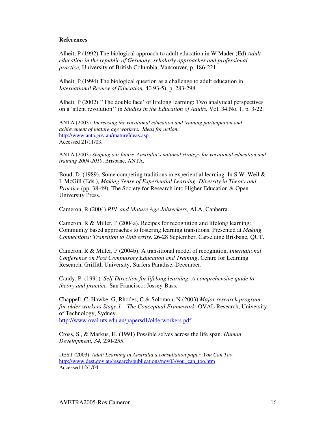## **References**

Alheit, P (1992) The biological approach to adult education in W Mader (Ed) *Adult education in the republic of Germany: scholarly approaches and professional practice,* University of British Columbia, Vancouver, p. 186-221.

Alheit, P (1994) The biological question as a challenge to adult education in *International Review of Education,* 40 93-5), p. 283-298

Alheit, P (2002) ''The double face' of lifelong learning: Two analytical perspectives on a 'silent revolution'' in *Studies in the Education of Adults,* Vol. 34,No. 1, p. 3-22.

ANTA (2003) *Increasing the vocational education and training participation and achievement of mature age workers. Ideas for action.* http://www.anta.gov.au/matureIdeas.asp Accessed 21/11/03.

ANTA (2003) *Shaping our future. Australia's national strategy for vocational education and training 2004-2010*, Brisbane, ANTA.

Boud, D. (1989). Some competing traditions in experiential learning. In S.W. Weil & I. McGill (Eds.), *Making Sense of Experiential Learning. Diversity in Theory and Practice* (pp. 38-49). The Society for Research into Higher Education & Open University Press.

Cameron, R (2004) *RPL and Mature Age Jobseekers,* ALA, Canberra.

Cameron, R & Miller, P (2004a). Recipes for recognition and lifelong learning: Community based approaches to fostering learning transitions. Presented at *Making Connections: Transition to University,* 26-28 September, Carseldine Brisbane, QUT.

Cameron, R & Miller, P (2004b). A transitional model of recognition, *International Conference on Post Compulsory Education and Training*, Centre for Learning Research, Griffith University, Surfers Paradise, December.

Candy, P. (1991). *Self-Direction for lifelong learning: A comprehensive guide to theory and practice.* San Francisco: Jossey-Bass.

Chappell, C, Hawke, G, Rhodes, C & Solomon, N (2003) *Major research program for older workers Stage 1 – The Conceptual Framework ,*OVAL Research, University of Technology, Sydney. http://www.oval.uts.edu.au/papersd1/olderworkers.pdf

Cross, S., & Markus, H. (1991) Possible selves across the life span. *Human Development, 34,* 230-255.

DEST (2003) *Adult Learning in Australia a consultation paper. You Can Too.* http://www.dest.gov.au/research/publications/nov03/you\_can\_too.htm Accessed 12/1/04.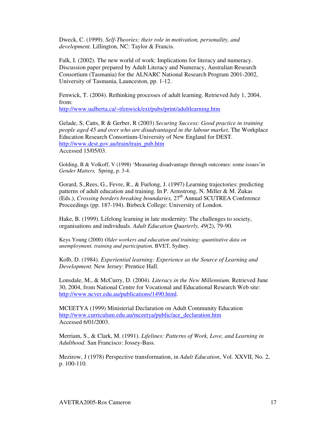Dweck, C. (1999). *Self-Theories: their role in motivation, personality, and development.* Lillington, NC: Taylor & Francis.

Falk, I. (2002). The new world of work: Implications for literacy and numeracy. Discussion paper prepared by Adult Literacy and Numeracy, Australian Research Consortium (Tasmania) for the ALNARC National Research Program 2001-2002, University of Tasmania, Launceston, pp. 1-12.

Fenwick, T. (2004). Rethinking processes of adult learning. Retrieved July 1, 2004, from:

http://www.ualberta.ca/~tfenwick/ext/pubs/print/adultlearning.htm

Gelade, S, Catts, R & Gerber, R (2003) *Securing Success: Good practice in training people aged 45 and over who are disadvantaged in the labour market,* The Workplace Education Research Consortium-University of New England for DEST. http://www.dest.gov.au/train/train\_pub.htm Accessed 15/05/03.

Golding, B & Volkoff, V (1998) 'Measuring disadvantage through outcomes: some issues'in *Gender Matters,* Spring, p. 3-4.

Gorard, S.,Rees, G., Fevre, R., & Furlong, J. (1997) Learning trajectories: predicting patterns of adult education and training. In P. Armstrong, N. Miller & M. Zukas (Eds.), *Crossing borders breaking boundaries,* 27 th Annual SCUTREA Conference Proceedings (pp. 187-194). Birbeck College: University of London.

Hake, B. (1999). Lifelong learning in late modernity: The challenges to society, organisations and individuals. *Adult Education Quarterly, 49*(2), 79-90.

Keys Young (2000) *Older workers and education and training: quantitative data on unemployment, training and participation,* BVET, Sydney.

Kolb, D. (1984). *Experiential learning: Experience as the Source of Learning and Development.* New Jersey: Prentice Hall.

Lonsdale, M., & McCurry, D. (2004). *Literacy in the New Millennium.* Retrieved June 30, 2004, from National Centre for Vocational and Educational Research Web site: http://www.ncver.edu.au/publications/1490.html.

MCEETYA (1999) Ministerial Declaration on Adult Community Education http://www.curriculum.edu.au/mceetya/public/ace\_declaration.htm Accessed 6/01/2003.

Merriam, S., & Clark, M. (1991). *Lifelines: Patterns of Work, Love, and Learning in Adulthood.* San Francisco: Jossey-Bass.

Mezirow, J (1978) Perspective transformation, in *Adult Education*, Vol. XXVII, No. 2, p. 100-110.